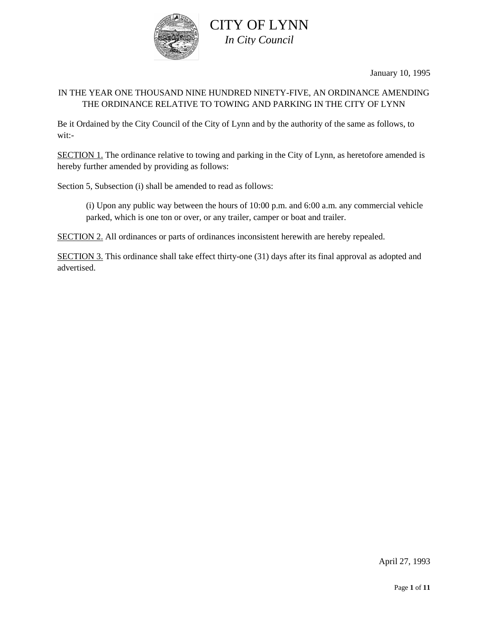

January 10, 1995

## IN THE YEAR ONE THOUSAND NINE HUNDRED NINETY-FIVE, AN ORDINANCE AMENDING THE ORDINANCE RELATIVE TO TOWING AND PARKING IN THE CITY OF LYNN

Be it Ordained by the City Council of the City of Lynn and by the authority of the same as follows, to wit:-

SECTION 1. The ordinance relative to towing and parking in the City of Lynn, as heretofore amended is hereby further amended by providing as follows:

Section 5, Subsection (i) shall be amended to read as follows:

(i) Upon any public way between the hours of 10:00 p.m. and 6:00 a.m. any commercial vehicle parked, which is one ton or over, or any trailer, camper or boat and trailer.

SECTION 2. All ordinances or parts of ordinances inconsistent herewith are hereby repealed.

SECTION 3. This ordinance shall take effect thirty-one (31) days after its final approval as adopted and advertised.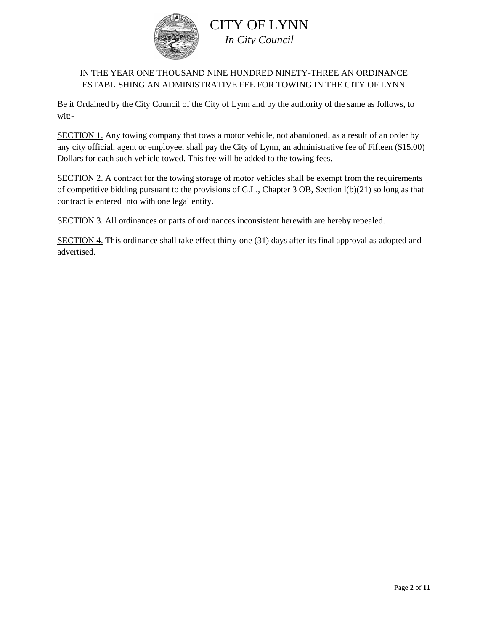

## IN THE YEAR ONE THOUSAND NINE HUNDRED NINETY-THREE AN ORDINANCE ESTABLISHING AN ADMINISTRATIVE FEE FOR TOWING IN THE CITY OF LYNN

Be it Ordained by the City Council of the City of Lynn and by the authority of the same as follows, to wit:-

SECTION 1. Any towing company that tows a motor vehicle, not abandoned, as a result of an order by any city official, agent or employee, shall pay the City of Lynn, an administrative fee of Fifteen (\$15.00) Dollars for each such vehicle towed. This fee will be added to the towing fees.

SECTION 2. A contract for the towing storage of motor vehicles shall be exempt from the requirements of competitive bidding pursuant to the provisions of G.L., Chapter 3 OB, Section l(b)(21) so long as that contract is entered into with one legal entity.

SECTION 3. All ordinances or parts of ordinances inconsistent herewith are hereby repealed.

SECTION 4. This ordinance shall take effect thirty-one (31) days after its final approval as adopted and advertised.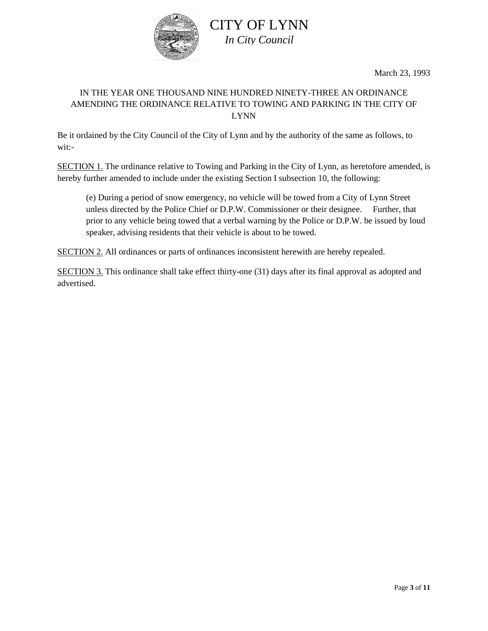

March 23, 1993

# IN THE YEAR ONE THOUSAND NINE HUNDRED NINETY-THREE AN ORDINANCE AMENDING THE ORDINANCE RELATIVE TO TOWING AND PARKING IN THE CITY OF LYNN

Be it ordained by the City Council of the City of Lynn and by the authority of the same as follows, to wit:-

SECTION 1. The ordinance relative to Towing and Parking in the City of Lynn, as heretofore amended, is hereby further amended to include under the existing Section I subsection 10, the following:

(e) During a period of snow emergency, no vehicle will be towed from a City of Lynn Street unless directed by the Police Chief or D.P.W. Commissioner or their designee. Further, that prior to any vehicle being towed that a verbal warning by the Police or D.P.W. be issued by loud speaker, advising residents that their vehicle is about to be towed.

SECTION 2. All ordinances or parts of ordinances inconsistent herewith are hereby repealed.

SECTION 3. This ordinance shall take effect thirty-one (31) days after its final approval as adopted and advertised.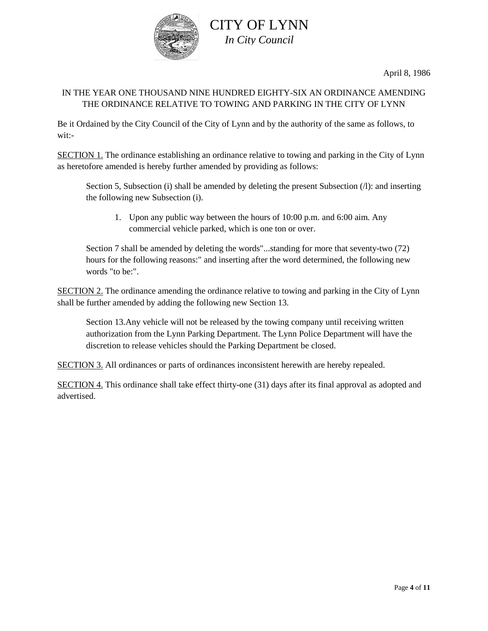

April 8, 1986

### IN THE YEAR ONE THOUSAND NINE HUNDRED EIGHTY-SIX AN ORDINANCE AMENDING THE ORDINANCE RELATIVE TO TOWING AND PARKING IN THE CITY OF LYNN

Be it Ordained by the City Council of the City of Lynn and by the authority of the same as follows, to wit:-

SECTION 1. The ordinance establishing an ordinance relative to towing and parking in the City of Lynn as heretofore amended is hereby further amended by providing as follows:

Section 5, Subsection (i) shall be amended by deleting the present Subsection (1): and inserting the following new Subsection (i).

1. Upon any public way between the hours of 10:00 p.m. and 6:00 aim. Any commercial vehicle parked, which is one ton or over.

Section 7 shall be amended by deleting the words"...standing for more that seventy-two (72) hours for the following reasons:" and inserting after the word determined, the following new words "to be:".

SECTION 2. The ordinance amending the ordinance relative to towing and parking in the City of Lynn shall be further amended by adding the following new Section 13.

Section 13.Any vehicle will not be released by the towing company until receiving written authorization from the Lynn Parking Department. The Lynn Police Department will have the discretion to release vehicles should the Parking Department be closed.

SECTION 3. All ordinances or parts of ordinances inconsistent herewith are hereby repealed.

SECTION 4. This ordinance shall take effect thirty-one (31) days after its final approval as adopted and advertised.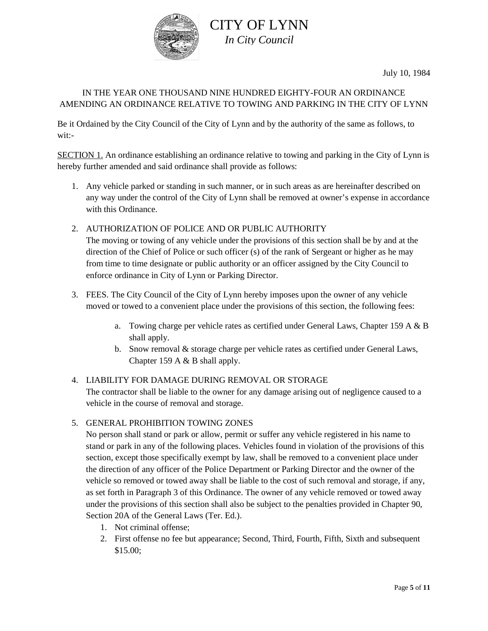

July 10, 1984

## IN THE YEAR ONE THOUSAND NINE HUNDRED EIGHTY-FOUR AN ORDINANCE AMENDING AN ORDINANCE RELATIVE TO TOWING AND PARKING IN THE CITY OF LYNN

Be it Ordained by the City Council of the City of Lynn and by the authority of the same as follows, to wit:-

SECTION 1. An ordinance establishing an ordinance relative to towing and parking in the City of Lynn is hereby further amended and said ordinance shall provide as follows:

- 1. Any vehicle parked or standing in such manner, or in such areas as are hereinafter described on any way under the control of the City of Lynn shall be removed at owner's expense in accordance with this Ordinance.
- 2. AUTHORIZATION OF POLICE AND OR PUBLIC AUTHORITY

The moving or towing of any vehicle under the provisions of this section shall be by and at the direction of the Chief of Police or such officer (s) of the rank of Sergeant or higher as he may from time to time designate or public authority or an officer assigned by the City Council to enforce ordinance in City of Lynn or Parking Director.

- 3. FEES. The City Council of the City of Lynn hereby imposes upon the owner of any vehicle moved or towed to a convenient place under the provisions of this section, the following fees:
	- a. Towing charge per vehicle rates as certified under General Laws, Chapter 159 A & B shall apply.
	- b. Snow removal & storage charge per vehicle rates as certified under General Laws, Chapter 159 A & B shall apply.

## 4. LIABILITY FOR DAMAGE DURING REMOVAL OR STORAGE

The contractor shall be liable to the owner for any damage arising out of negligence caused to a vehicle in the course of removal and storage.

### 5. GENERAL PROHIBITION TOWING ZONES

No person shall stand or park or allow, permit or suffer any vehicle registered in his name to stand or park in any of the following places. Vehicles found in violation of the provisions of this section, except those specifically exempt by law, shall be removed to a convenient place under the direction of any officer of the Police Department or Parking Director and the owner of the vehicle so removed or towed away shall be liable to the cost of such removal and storage, if any, as set forth in Paragraph 3 of this Ordinance. The owner of any vehicle removed or towed away under the provisions of this section shall also be subject to the penalties provided in Chapter 90, Section 20A of the General Laws (Ter. Ed.).

- 1. Not criminal offense;
- 2. First offense no fee but appearance; Second, Third, Fourth, Fifth, Sixth and subsequent \$15.00;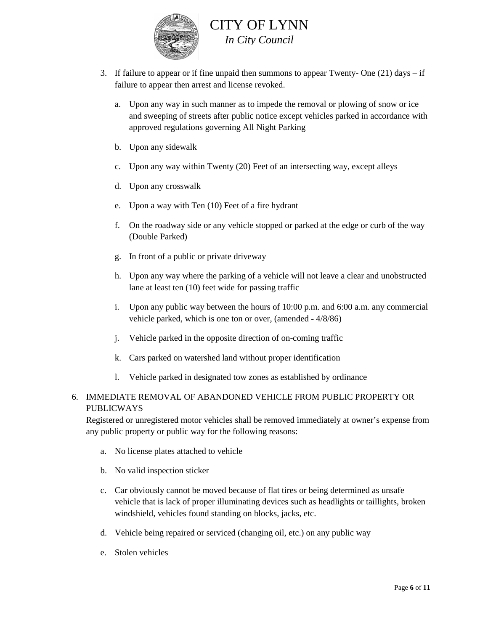

- 3. If failure to appear or if fine unpaid then summons to appear Twenty- One (21) days if failure to appear then arrest and license revoked.
	- a. Upon any way in such manner as to impede the removal or plowing of snow or ice and sweeping of streets after public notice except vehicles parked in accordance with approved regulations governing All Night Parking
	- b. Upon any sidewalk
	- c. Upon any way within Twenty (20) Feet of an intersecting way, except alleys
	- d. Upon any crosswalk
	- e. Upon a way with Ten (10) Feet of a fire hydrant
	- f. On the roadway side or any vehicle stopped or parked at the edge or curb of the way (Double Parked)
	- g. In front of a public or private driveway
	- h. Upon any way where the parking of a vehicle will not leave a clear and unobstructed lane at least ten (10) feet wide for passing traffic
	- i. Upon any public way between the hours of 10:00 p.m. and 6:00 a.m. any commercial vehicle parked, which is one ton or over, (amended - 4/8/86)
	- j. Vehicle parked in the opposite direction of on-coming traffic
	- k. Cars parked on watershed land without proper identification
	- l. Vehicle parked in designated tow zones as established by ordinance

### 6. IMMEDIATE REMOVAL OF ABANDONED VEHICLE FROM PUBLIC PROPERTY OR PUBLICWAYS

Registered or unregistered motor vehicles shall be removed immediately at owner's expense from any public property or public way for the following reasons:

- a. No license plates attached to vehicle
- b. No valid inspection sticker
- c. Car obviously cannot be moved because of flat tires or being determined as unsafe vehicle that is lack of proper illuminating devices such as headlights or taillights, broken windshield, vehicles found standing on blocks, jacks, etc.
- d. Vehicle being repaired or serviced (changing oil, etc.) on any public way
- e. Stolen vehicles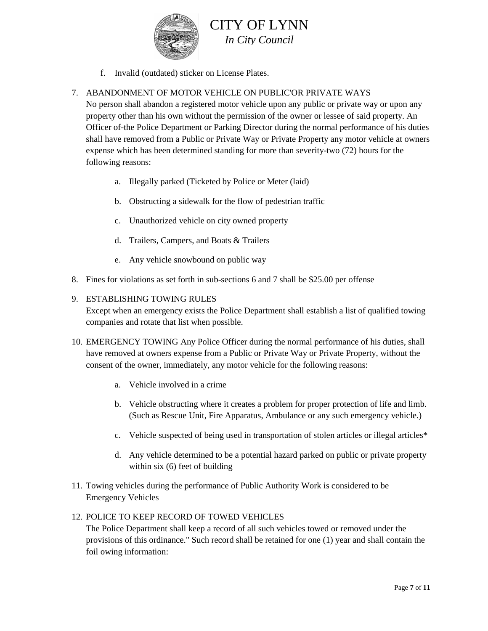

f. Invalid (outdated) sticker on License Plates.

## 7. ABANDONMENT OF MOTOR VEHICLE ON PUBLIC'OR PRIVATE WAYS

No person shall abandon a registered motor vehicle upon any public or private way or upon any property other than his own without the permission of the owner or lessee of said property. An Officer of-the Police Department or Parking Director during the normal performance of his duties shall have removed from a Public or Private Way or Private Property any motor vehicle at owners expense which has been determined standing for more than severity-two (72) hours for the following reasons:

- a. Illegally parked (Ticketed by Police or Meter (laid)
- b. Obstructing a sidewalk for the flow of pedestrian traffic
- c. Unauthorized vehicle on city owned property
- d. Trailers, Campers, and Boats & Trailers
- e. Any vehicle snowbound on public way
- 8. Fines for violations as set forth in sub-sections 6 and 7 shall be \$25.00 per offense

### 9. ESTABLISHING TOWING RULES

Except when an emergency exists the Police Department shall establish a list of qualified towing companies and rotate that list when possible.

- 10. EMERGENCY TOWING Any Police Officer during the normal performance of his duties, shall have removed at owners expense from a Public or Private Way or Private Property, without the consent of the owner, immediately, any motor vehicle for the following reasons:
	- a. Vehicle involved in a crime
	- b. Vehicle obstructing where it creates a problem for proper protection of life and limb. (Such as Rescue Unit, Fire Apparatus, Ambulance or any such emergency vehicle.)
	- c. Vehicle suspected of being used in transportation of stolen articles or illegal articles\*
	- d. Any vehicle determined to be a potential hazard parked on public or private property within six (6) feet of building
- 11. Towing vehicles during the performance of Public Authority Work is considered to be Emergency Vehicles

### 12. POLICE TO KEEP RECORD OF TOWED VEHICLES

The Police Department shall keep a record of all such vehicles towed or removed under the provisions of this ordinance." Such record shall be retained for one (1) year and shall contain the foil owing information: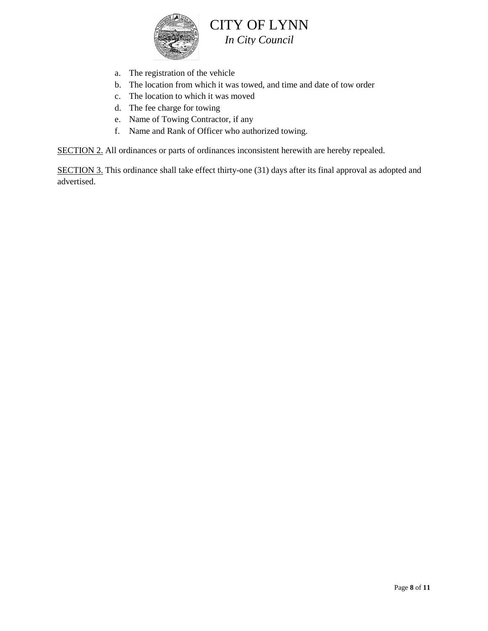

- a. The registration of the vehicle
- b. The location from which it was towed, and time and date of tow order
- c. The location to which it was moved
- d. The fee charge for towing
- e. Name of Towing Contractor, if any
- f. Name and Rank of Officer who authorized towing.

SECTION 2. All ordinances or parts of ordinances inconsistent herewith are hereby repealed.

SECTION 3. This ordinance shall take effect thirty-one (31) days after its final approval as adopted and advertised.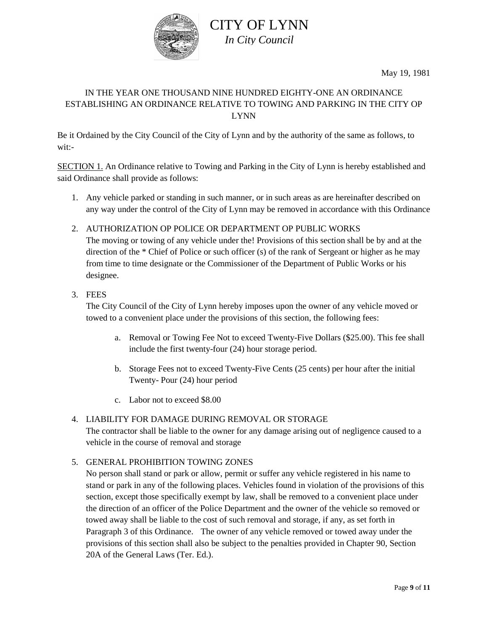

May 19, 1981

# IN THE YEAR ONE THOUSAND NINE HUNDRED EIGHTY-ONE AN ORDINANCE ESTABLISHING AN ORDINANCE RELATIVE TO TOWING AND PARKING IN THE CITY OP LYNN

Be it Ordained by the City Council of the City of Lynn and by the authority of the same as follows, to wit:-

SECTION 1. An Ordinance relative to Towing and Parking in the City of Lynn is hereby established and said Ordinance shall provide as follows:

- 1. Any vehicle parked or standing in such manner, or in such areas as are hereinafter described on any way under the control of the City of Lynn may be removed in accordance with this Ordinance
- 2. AUTHORIZATION OP POLICE OR DEPARTMENT OP PUBLIC WORKS The moving or towing of any vehicle under the! Provisions of this section shall be by and at the direction of the \* Chief of Police or such officer (s) of the rank of Sergeant or higher as he may from time to time designate or the Commissioner of the Department of Public Works or his designee.
- 3. FEES

The City Council of the City of Lynn hereby imposes upon the owner of any vehicle moved or towed to a convenient place under the provisions of this section, the following fees:

- a. Removal or Towing Fee Not to exceed Twenty-Five Dollars (\$25.00). This fee shall include the first twenty-four (24) hour storage period.
- b. Storage Fees not to exceed Twenty-Five Cents (25 cents) per hour after the initial Twenty- Pour (24) hour period
- c. Labor not to exceed \$8.00

### 4. LIABILITY FOR DAMAGE DURING REMOVAL OR STORAGE

The contractor shall be liable to the owner for any damage arising out of negligence caused to a vehicle in the course of removal and storage

### 5. GENERAL PROHIBITION TOWING ZONES

No person shall stand or park or allow, permit or suffer any vehicle registered in his name to stand or park in any of the following places. Vehicles found in violation of the provisions of this section, except those specifically exempt by law, shall be removed to a convenient place under the direction of an officer of the Police Department and the owner of the vehicle so removed or towed away shall be liable to the cost of such removal and storage, if any, as set forth in Paragraph 3 of this Ordinance. The owner of any vehicle removed or towed away under the provisions of this section shall also be subject to the penalties provided in Chapter 90, Section 20A of the General Laws (Ter. Ed.).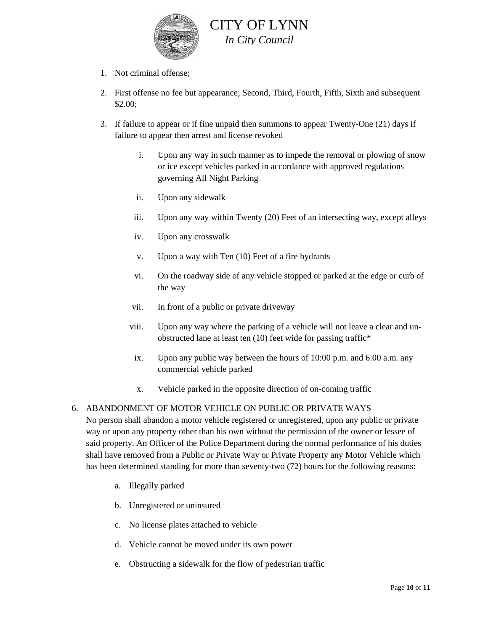

- 1. Not criminal offense;
- 2. First offense no fee but appearance; Second, Third, Fourth, Fifth, Sixth and subsequent \$2.00;
- 3. If failure to appear or if fine unpaid then summons to appear Twenty-One (21) days if failure to appear then arrest and license revoked
	- i. Upon any way in such manner as to impede the removal or plowing of snow or ice except vehicles parked in accordance with approved regulations governing All Night Parking
	- ii. Upon any sidewalk
	- iii. Upon any way within Twenty (20) Feet of an intersecting way, except alleys
	- iv. Upon any crosswalk
	- v. Upon a way with Ten (10) Feet of a fire hydrants
	- vi. On the roadway side of any vehicle stopped or parked at the edge or curb of the way
	- vii. In front of a public or private driveway
	- viii. Upon any way where the parking of a vehicle will not leave a clear and unobstructed lane at least ten (10) feet wide for passing traffic\*
	- ix. Upon any public way between the hours of 10:00 p.m. and 6:00 a.m. any commercial vehicle parked
	- x. Vehicle parked in the opposite direction of on-coming traffic

#### 6. ABANDONMENT OF MOTOR VEHICLE ON PUBLIC OR PRIVATE WAYS

No person shall abandon a motor vehicle registered or unregistered, upon any public or private way or upon any property other than his own without the permission of the owner or lessee of said property. An Officer of the Police Department during the normal performance of his duties shall have removed from a Public or Private Way or Private Property any Motor Vehicle which has been determined standing for more than seventy-two (72) hours for the following reasons:

- a. Illegally parked
- b. Unregistered or uninsured
- c. No license plates attached to vehicle
- d. Vehicle cannot be moved under its own power
- e. Obstructing a sidewalk for the flow of pedestrian traffic